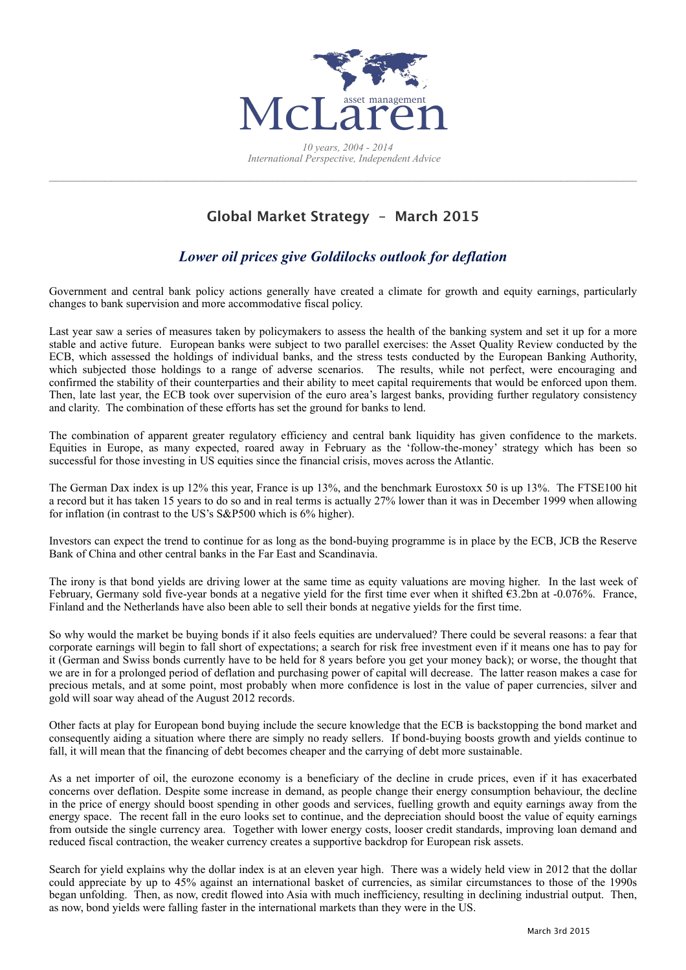

## **Global Market Strategy – March 2015**

## *Lower oil prices give Goldilocks outlook for deflation*

Government and central bank policy actions generally have created a climate for growth and equity earnings, particularly changes to bank supervision and more accommodative fiscal policy.

Last year saw a series of measures taken by policymakers to assess the health of the banking system and set it up for a more stable and active future. European banks were subject to two parallel exercises: the Asset Quality Review conducted by the ECB, which assessed the holdings of individual banks, and the stress tests conducted by the European Banking Authority, which subjected those holdings to a range of adverse scenarios. The results, while not perfect, were encouraging and confirmed the stability of their counterparties and their ability to meet capital requirements that would be enforced upon them. Then, late last year, the ECB took over supervision of the euro area's largest banks, providing further regulatory consistency and clarity. The combination of these efforts has set the ground for banks to lend.

The combination of apparent greater regulatory efficiency and central bank liquidity has given confidence to the markets. Equities in Europe, as many expected, roared away in February as the 'follow-the-money' strategy which has been so successful for those investing in US equities since the financial crisis, moves across the Atlantic.

The German Dax index is up 12% this year, France is up 13%, and the benchmark Eurostoxx 50 is up 13%. The FTSE100 hit a record but it has taken 15 years to do so and in real terms is actually 27% lower than it was in December 1999 when allowing for inflation (in contrast to the US's S&P500 which is 6% higher).

Investors can expect the trend to continue for as long as the bond-buying programme is in place by the ECB, JCB the Reserve Bank of China and other central banks in the Far East and Scandinavia.

The irony is that bond yields are driving lower at the same time as equity valuations are moving higher. In the last week of February, Germany sold five-year bonds at a negative yield for the first time ever when it shifted €3.2bn at -0.076%. France, Finland and the Netherlands have also been able to sell their bonds at negative yields for the first time.

So why would the market be buying bonds if it also feels equities are undervalued? There could be several reasons: a fear that corporate earnings will begin to fall short of expectations; a search for risk free investment even if it means one has to pay for it (German and Swiss bonds currently have to be held for 8 years before you get your money back); or worse, the thought that we are in for a prolonged period of deflation and purchasing power of capital will decrease. The latter reason makes a case for precious metals, and at some point, most probably when more confidence is lost in the value of paper currencies, silver and gold will soar way ahead of the August 2012 records.

Other facts at play for European bond buying include the secure knowledge that the ECB is backstopping the bond market and consequently aiding a situation where there are simply no ready sellers. If bond-buying boosts growth and yields continue to fall, it will mean that the financing of debt becomes cheaper and the carrying of debt more sustainable.

As a net importer of oil, the eurozone economy is a beneficiary of the decline in crude prices, even if it has exacerbated concerns over deflation. Despite some increase in demand, as people change their energy consumption behaviour, the decline in the price of energy should boost spending in other goods and services, fuelling growth and equity earnings away from the energy space. The recent fall in the euro looks set to continue, and the depreciation should boost the value of equity earnings from outside the single currency area. Together with lower energy costs, looser credit standards, improving loan demand and reduced fiscal contraction, the weaker currency creates a supportive backdrop for European risk assets.

Search for yield explains why the dollar index is at an eleven year high. There was a widely held view in 2012 that the dollar could appreciate by up to 45% against an international basket of currencies, as similar circumstances to those of the 1990s began unfolding. Then, as now, credit flowed into Asia with much inefficiency, resulting in declining industrial output. Then, as now, bond yields were falling faster in the international markets than they were in the US.